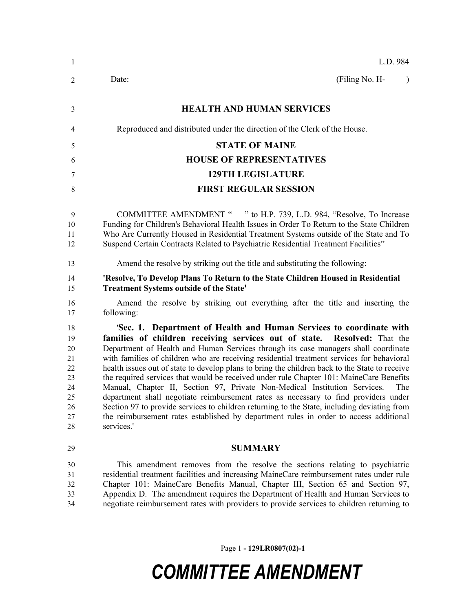| $\mathbf{1}$                                                   | L.D. 984                                                                                                                                                                                                                                                                                                                                                                                                                                                                                                                                                                                                                                                                                                                                                                                                                                                                                                         |
|----------------------------------------------------------------|------------------------------------------------------------------------------------------------------------------------------------------------------------------------------------------------------------------------------------------------------------------------------------------------------------------------------------------------------------------------------------------------------------------------------------------------------------------------------------------------------------------------------------------------------------------------------------------------------------------------------------------------------------------------------------------------------------------------------------------------------------------------------------------------------------------------------------------------------------------------------------------------------------------|
| $\overline{2}$                                                 | (Filing No. H-<br>Date:<br>$\lambda$                                                                                                                                                                                                                                                                                                                                                                                                                                                                                                                                                                                                                                                                                                                                                                                                                                                                             |
| 3                                                              | <b>HEALTH AND HUMAN SERVICES</b>                                                                                                                                                                                                                                                                                                                                                                                                                                                                                                                                                                                                                                                                                                                                                                                                                                                                                 |
| 4                                                              | Reproduced and distributed under the direction of the Clerk of the House.                                                                                                                                                                                                                                                                                                                                                                                                                                                                                                                                                                                                                                                                                                                                                                                                                                        |
| 5                                                              | <b>STATE OF MAINE</b>                                                                                                                                                                                                                                                                                                                                                                                                                                                                                                                                                                                                                                                                                                                                                                                                                                                                                            |
| 6                                                              | <b>HOUSE OF REPRESENTATIVES</b>                                                                                                                                                                                                                                                                                                                                                                                                                                                                                                                                                                                                                                                                                                                                                                                                                                                                                  |
| 7                                                              | <b>129TH LEGISLATURE</b>                                                                                                                                                                                                                                                                                                                                                                                                                                                                                                                                                                                                                                                                                                                                                                                                                                                                                         |
| 8                                                              | <b>FIRST REGULAR SESSION</b>                                                                                                                                                                                                                                                                                                                                                                                                                                                                                                                                                                                                                                                                                                                                                                                                                                                                                     |
| 9<br>10<br>11<br>12                                            | COMMITTEE AMENDMENT " " to H.P. 739, L.D. 984, "Resolve, To Increase<br>Funding for Children's Behavioral Health Issues in Order To Return to the State Children<br>Who Are Currently Housed in Residential Treatment Systems outside of the State and To<br>Suspend Certain Contracts Related to Psychiatric Residential Treatment Facilities"                                                                                                                                                                                                                                                                                                                                                                                                                                                                                                                                                                  |
| 13                                                             | Amend the resolve by striking out the title and substituting the following:                                                                                                                                                                                                                                                                                                                                                                                                                                                                                                                                                                                                                                                                                                                                                                                                                                      |
| 14<br>15                                                       | 'Resolve, To Develop Plans To Return to the State Children Housed in Residential<br><b>Treatment Systems outside of the State'</b>                                                                                                                                                                                                                                                                                                                                                                                                                                                                                                                                                                                                                                                                                                                                                                               |
| 16<br>17                                                       | Amend the resolve by striking out everything after the title and inserting the<br>following:                                                                                                                                                                                                                                                                                                                                                                                                                                                                                                                                                                                                                                                                                                                                                                                                                     |
| 18<br>19<br>20<br>21<br>22<br>23<br>24<br>25<br>26<br>27<br>28 | 'Sec. 1. Department of Health and Human Services to coordinate with<br>families of children receiving services out of state. Resolved: That the<br>Department of Health and Human Services through its case managers shall coordinate<br>with families of children who are receiving residential treatment services for behavioral<br>health issues out of state to develop plans to bring the children back to the State to receive<br>the required services that would be received under rule Chapter 101: MaineCare Benefits<br>Manual, Chapter II, Section 97, Private Non-Medical Institution Services.<br>The<br>department shall negotiate reimbursement rates as necessary to find providers under<br>Section 97 to provide services to children returning to the State, including deviating from<br>the reimbursement rates established by department rules in order to access additional<br>services.' |
| 29                                                             | <b>SUMMARY</b>                                                                                                                                                                                                                                                                                                                                                                                                                                                                                                                                                                                                                                                                                                                                                                                                                                                                                                   |
| 30<br>31<br>32<br>33<br>34                                     | This amendment removes from the resolve the sections relating to psychiatric<br>residential treatment facilities and increasing MaineCare reimbursement rates under rule<br>Chapter 101: MaineCare Benefits Manual, Chapter III, Section 65 and Section 97,<br>Appendix D. The amendment requires the Department of Health and Human Services to<br>negotiate reimbursement rates with providers to provide services to children returning to                                                                                                                                                                                                                                                                                                                                                                                                                                                                    |

Page 1 **- 129LR0807(02)-1**

## *COMMITTEE AMENDMENT*